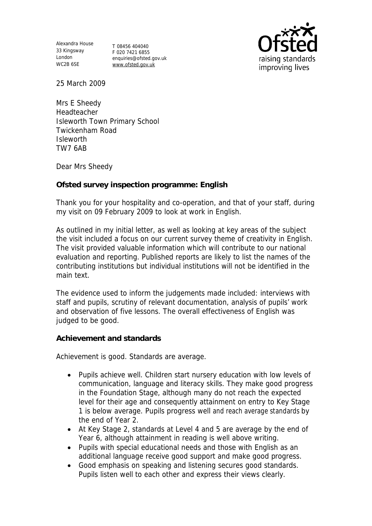Alexandra House 33 Kingsway T 08456 404040 London WC2B 6SE

F 020 7421 6855 enquiries@ofsted.gov.uk www.ofsted.gov.uk



25 March 2009

Mrs E Sheedy Headteacher Isleworth Town Primary School Twickenham Road Isleworth TW7 6AB

Dear Mrs Sheedy

**Ofsted survey inspection programme: English** 

Thank you for your hospitality and co-operation, and that of your staff, during my visit on 09 February 2009 to look at work in English.

As outlined in my initial letter, as well as looking at key areas of the subject the visit included a focus on our current survey theme of creativity in English. The visit provided valuable information which will contribute to our national evaluation and reporting. Published reports are likely to list the names of the contributing institutions but individual institutions will not be identified in the main text.

The evidence used to inform the judgements made included: interviews with staff and pupils, scrutiny of relevant documentation, analysis of pupils' work and observation of five lessons. The overall effectiveness of English was judged to be good.

**Achievement and standards**

Achievement is good. Standards are average.

- Pupils achieve well. Children start nursery education with low levels of communication, language and literacy skills. They make good progress in the Foundation Stage, although many do not reach the expected level for their age and consequently attainment on entry to Key Stage 1 is below average. Pupils progress well and reach average standards by the end of Year 2.
- At Key Stage 2, standards at Level 4 and 5 are average by the end of Year 6, although attainment in reading is well above writing.
- Pupils with special educational needs and those with English as an additional language receive good support and make good progress.
- Good emphasis on speaking and listening secures good standards. Pupils listen well to each other and express their views clearly.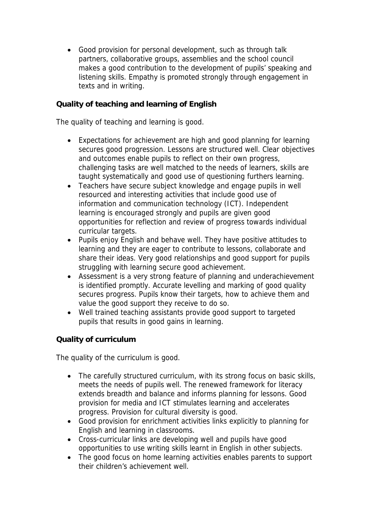Good provision for personal development, such as through talk partners, collaborative groups, assemblies and the school council makes a good contribution to the development of pupils' speaking and listening skills. Empathy is promoted strongly through engagement in texts and in writing.

**Quality of teaching and learning of English**

The quality of teaching and learning is good.

- Expectations for achievement are high and good planning for learning secures good progression. Lessons are structured well. Clear objectives and outcomes enable pupils to reflect on their own progress, challenging tasks are well matched to the needs of learners, skills are taught systematically and good use of questioning furthers learning.
- Teachers have secure subject knowledge and engage pupils in well resourced and interesting activities that include good use of information and communication technology (ICT). Independent learning is encouraged strongly and pupils are given good opportunities for reflection and review of progress towards individual curricular targets.
- Pupils enjoy English and behave well. They have positive attitudes to learning and they are eager to contribute to lessons, collaborate and share their ideas. Very good relationships and good support for pupils struggling with learning secure good achievement.
- Assessment is a very strong feature of planning and underachievement is identified promptly. Accurate levelling and marking of good quality secures progress. Pupils know their targets, how to achieve them and value the good support they receive to do so.
- Well trained teaching assistants provide good support to targeted pupils that results in good gains in learning.

## **Quality of curriculum**

The quality of the curriculum is good.

- The carefully structured curriculum, with its strong focus on basic skills, meets the needs of pupils well. The renewed framework for literacy extends breadth and balance and informs planning for lessons. Good provision for media and ICT stimulates learning and accelerates progress. Provision for cultural diversity is good.
- Good provision for enrichment activities links explicitly to planning for English and learning in classrooms.
- Cross-curricular links are developing well and pupils have good opportunities to use writing skills learnt in English in other subjects.
- The good focus on home learning activities enables parents to support their children's achievement well.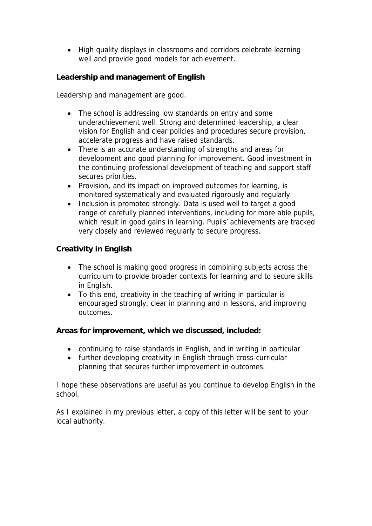• High quality displays in classrooms and corridors celebrate learning well and provide good models for achievement.

**Leadership and management of English**

Leadership and management are good.

- The school is addressing low standards on entry and some underachievement well. Strong and determined leadership, a clear vision for English and clear policies and procedures secure provision, accelerate progress and have raised standards.
- There is an accurate understanding of strengths and areas for development and good planning for improvement. Good investment in the continuing professional development of teaching and support staff secures priorities.
- Provision, and its impact on improved outcomes for learning, is monitored systematically and evaluated rigorously and regularly.
- Inclusion is promoted strongly. Data is used well to target a good range of carefully planned interventions, including for more able pupils, which result in good gains in learning. Pupils' achievements are tracked very closely and reviewed regularly to secure progress.

**Creativity in English**

- The school is making good progress in combining subjects across the curriculum to provide broader contexts for learning and to secure skills in English.
- To this end, creativity in the teaching of writing in particular is encouraged strongly, clear in planning and in lessons, and improving outcomes.

**Areas for improvement, which we discussed, included:**

- continuing to raise standards in English, and in writing in particular
- further developing creativity in English through cross-curricular planning that secures further improvement in outcomes.

I hope these observations are useful as you continue to develop English in the school.

As I explained in my previous letter, a copy of this letter will be sent to your local authority.